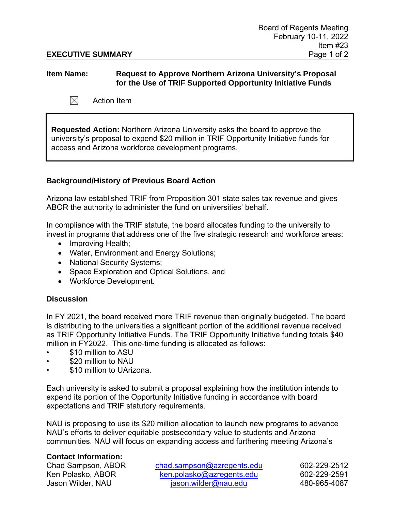## **EXECUTIVE SUMMARY** Page 1 of 2

## **Item Name: Request to Approve Northern Arizona University's Proposal for the Use of TRIF Supported Opportunity Initiative Funds**

 $\boxtimes$ Action Item

**Requested Action:** Northern Arizona University asks the board to approve the university's proposal to expend \$20 million in TRIF Opportunity Initiative funds for access and Arizona workforce development programs.

# **Background/History of Previous Board Action**

Arizona law established TRIF from Proposition 301 state sales tax revenue and gives ABOR the authority to administer the fund on universities' behalf.

In compliance with the TRIF statute, the board allocates funding to the university to invest in programs that address one of the five strategic research and workforce areas:

- Improving Health;
- Water, Environment and Energy Solutions;
- National Security Systems;
- Space Exploration and Optical Solutions, and
- Workforce Development.

### **Discussion**

In FY 2021, the board received more TRIF revenue than originally budgeted. The board is distributing to the universities a significant portion of the additional revenue received as TRIF Opportunity Initiative Funds. The TRIF Opportunity Initiative funding totals \$40 million in FY2022. This one-time funding is allocated as follows:

- \$10 million to ASU
- \$20 million to NAU
- \$10 million to UArizona.

Each university is asked to submit a proposal explaining how the institution intends to expend its portion of the Opportunity Initiative funding in accordance with board expectations and TRIF statutory requirements.

NAU is proposing to use its \$20 million allocation to launch new programs to advance NAU's efforts to deliver equitable postsecondary value to students and Arizona communities. NAU will focus on expanding access and furthering meeting Arizona's

### **Contact Information:**

Chad Sampson, ABOR [chad.sampson@azregents.edu](mailto:chad.sampson@azregents.edu) 602-229-2512 Ken Polasko, ABOR [ken.polasko@azregents.edu](mailto:ken.polasko@azregents.edu) 602-229-2591 Jason Wilder, NAU [jason.wilder@nau.edu](mailto:jason.wilder@nau.edu) 480-965-4087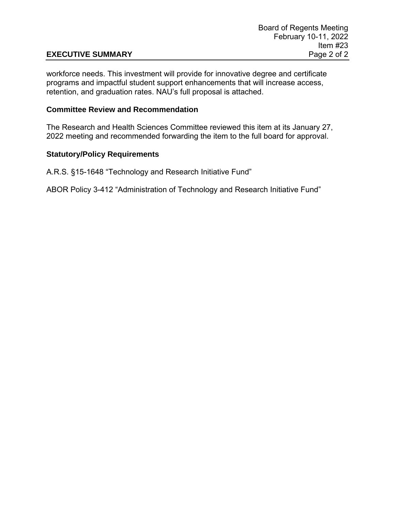# **EXECUTIVE SUMMARY**

workforce needs. This investment will provide for innovative degree and certificate programs and impactful student support enhancements that will increase access, retention, and graduation rates. NAU's full proposal is attached.

### **Committee Review and Recommendation**

The Research and Health Sciences Committee reviewed this item at its January 27, 2022 meeting and recommended forwarding the item to the full board for approval.

## **Statutory/Policy Requirements**

A.R.S. §15-1648 "Technology and Research Initiative Fund"

ABOR Policy 3-412 "Administration of Technology and Research Initiative Fund"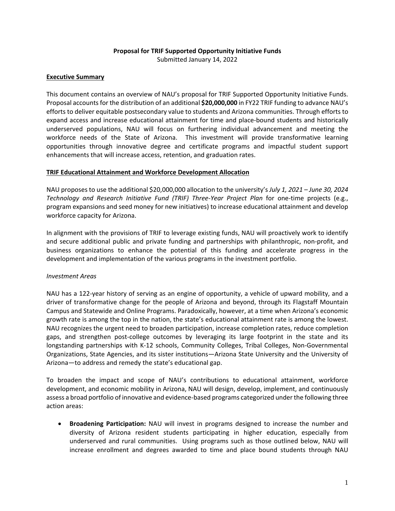#### **Proposal for TRIF Supported Opportunity Initiative Funds**

Submitted January 14, 2022

#### **Executive Summary**

This document contains an overview of NAU's proposal for TRIF Supported Opportunity Initiative Funds. Proposal accounts for the distribution of an additional **\$20,000,000** in FY22 TRIF funding to advance NAU's efforts to deliver equitable postsecondary value to students and Arizona communities. Through efforts to expand access and increase educational attainment for time and place-bound students and historically underserved populations, NAU will focus on furthering individual advancement and meeting the workforce needs of the State of Arizona. This investment will provide transformative learning opportunities through innovative degree and certificate programs and impactful student support enhancements that will increase access, retention, and graduation rates.

#### **TRIF Educational Attainment and Workforce Development Allocation**

NAU proposes to use the additional \$20,000,000 allocation to the university's *July 1, 2021 – June 30, 2024 Technology and Research Initiative Fund (TRIF) Three-Year Project Plan* for one-time projects (e.g., program expansions and seed money for new initiatives) to increase educational attainment and develop workforce capacity for Arizona.

In alignment with the provisions of TRIF to leverage existing funds, NAU will proactively work to identify and secure additional public and private funding and partnerships with philanthropic, non-profit, and business organizations to enhance the potential of this funding and accelerate progress in the development and implementation of the various programs in the investment portfolio.

#### *Investment Areas*

NAU has a 122-year history of serving as an engine of opportunity, a vehicle of upward mobility, and a driver of transformative change for the people of Arizona and beyond, through its Flagstaff Mountain Campus and Statewide and Online Programs. Paradoxically, however, at a time when Arizona's economic growth rate is among the top in the nation, the state's educational attainment rate is among the lowest. NAU recognizes the urgent need to broaden participation, increase completion rates, reduce completion gaps, and strengthen post-college outcomes by leveraging its large footprint in the state and its longstanding partnerships with K-12 schools, Community Colleges, Tribal Colleges, Non-Governmental Organizations, State Agencies, and its sister institutions—Arizona State University and the University of Arizona—to address and remedy the state's educational gap.

To broaden the impact and scope of NAU's contributions to educational attainment, workforce development, and economic mobility in Arizona, NAU will design, develop, implement, and continuously assess a broad portfolio of innovative and evidence-based programs categorized under the following three action areas:

• **Broadening Participation:** NAU will invest in programs designed to increase the number and diversity of Arizona resident students participating in higher education, especially from underserved and rural communities. Using programs such as those outlined below, NAU will increase enrollment and degrees awarded to time and place bound students through NAU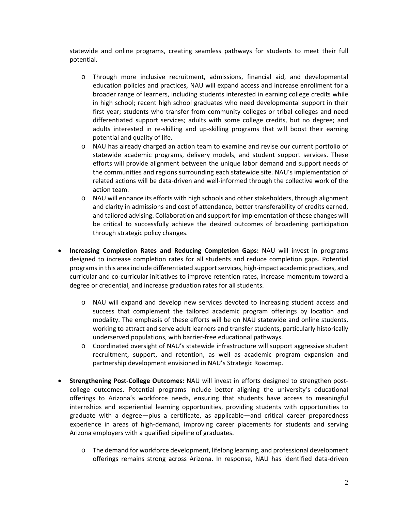statewide and online programs, creating seamless pathways for students to meet their full potential.

- o Through more inclusive recruitment, admissions, financial aid, and developmental education policies and practices, NAU will expand access and increase enrollment for a broader range of learners, including students interested in earning college credits while in high school; recent high school graduates who need developmental support in their first year; students who transfer from community colleges or tribal colleges and need differentiated support services; adults with some college credits, but no degree; and adults interested in re-skilling and up-skilling programs that will boost their earning potential and quality of life.
- o NAU has already charged an action team to examine and revise our current portfolio of statewide academic programs, delivery models, and student support services. These efforts will provide alignment between the unique labor demand and support needs of the communities and regions surrounding each statewide site. NAU's implementation of related actions will be data-driven and well-informed through the collective work of the action team.
- o NAU will enhance its efforts with high schools and other stakeholders, through alignment and clarity in admissions and cost of attendance, better transferability of credits earned, and tailored advising. Collaboration and support for implementation of these changes will be critical to successfully achieve the desired outcomes of broadening participation through strategic policy changes.
- **Increasing Completion Rates and Reducing Completion Gaps:** NAU will invest in programs designed to increase completion rates for all students and reduce completion gaps. Potential programs in this area include differentiated support services, high-impact academic practices, and curricular and co-curricular initiatives to improve retention rates, increase momentum toward a degree or credential, and increase graduation rates for all students.
	- o NAU will expand and develop new services devoted to increasing student access and success that complement the tailored academic program offerings by location and modality. The emphasis of these efforts will be on NAU statewide and online students, working to attract and serve adult learners and transfer students, particularly historically underserved populations, with barrier-free educational pathways.
	- o Coordinated oversight of NAU's statewide infrastructure will support aggressive student recruitment, support, and retention, as well as academic program expansion and partnership development envisioned in NAU's Strategic Roadmap.
- **Strengthening Post-College Outcomes:** NAU will invest in efforts designed to strengthen postcollege outcomes. Potential programs include better aligning the university's educational offerings to Arizona's workforce needs, ensuring that students have access to meaningful internships and experiential learning opportunities, providing students with opportunities to graduate with a degree—plus a certificate, as applicable—and critical career preparedness experience in areas of high-demand, improving career placements for students and serving Arizona employers with a qualified pipeline of graduates.
	- o The demand for workforce development, lifelong learning, and professional development offerings remains strong across Arizona. In response, NAU has identified data-driven